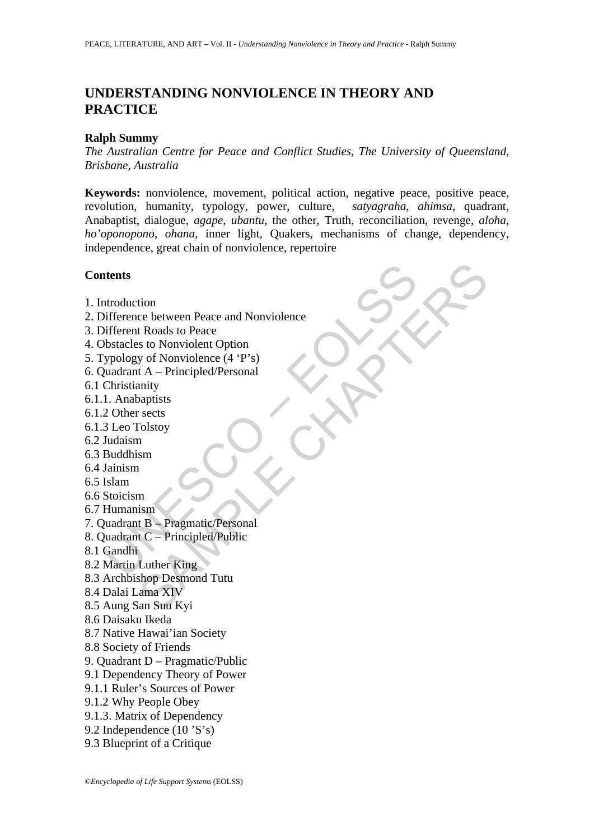# **UNDERSTANDING NONVIOLENCE IN THEORY AND PRACTICE**

#### **Ralph Summy**

*The Australian Centre for Peace and Conflict Studies, The University of Queensland, Brisbane, Australia* 

**Keywords:** nonviolence, movement, political action, negative peace, positive peace, revolution, humanity, typology, power, culture, *satyagraha*, *ahimsa*, quadrant, Anabaptist, dialogue, *agape*, *ubantu*, the other, Truth, reconciliation, revenge, *aloha*, *ho'oponopono*, *ohana*, inner light, Quakers, mechanisms of change, dependency, independence, great chain of nonviolence, repertoire

#### **Contents**

- 1. Introduction
- ntendience between Peace and Nonviolence<br>
ifference between Peace and Nonviolence<br>
bistacles to Nonviolent Option<br>
bypology of Nonviolence (4 ·P's)<br>
yuadrant A Principled/Personal<br>
Christianity<br>
1. Anabaptists<br>
2 Other s tion<br>
ce between Peace and Nonviolence<br>
t Roads to Peace<br>
st o Nonviolent Option<br>
y of Nonviolence (4 °P's)<br>
y of Nonviolence (4 °P's)<br>
anity<br>
anity<br>
anity<br>
anity<br>
anity<br>
anity<br>
anity<br>
n<br>
anity<br>
anity<br>
Luther King<br>
Luther 2. Difference between Peace and Nonviolence
- 3. Different Roads to Peace
- 4. Obstacles to Nonviolent Option
- 5. Typology of Nonviolence (4 'P's)
- 6. Quadrant A Principled/Personal
- 6.1 Christianity
- 6.1.1. Anabaptists
- 6.1.2 Other sects
- 6.1.3 Leo Tolstoy
- 6.2 Judaism
- 6.3 Buddhism
- 6.4 Jainism
- 6.5 Islam
- 6.6 Stoicism
- 6.7 Humanism
- 7. Quadrant B Pragmatic/Personal
- 8. Quadrant C Principled/Public
- 8.1 Gandhi
- 8.2 Martin Luther King
- 8.3 Archbishop Desmond Tutu
- 8.4 Dalai Lama XIV
- 8.5 Aung San Suu Kyi
- 8.6 Daisaku Ikeda
- 8.7 Native Hawai'ian Society
- 8.8 Society of Friends
- 9. Quadrant D Pragmatic/Public
- 9.1 Dependency Theory of Power
- 9.1.1 Ruler's Sources of Power
- 9.1.2 Why People Obey
- 9.1.3. Matrix of Dependency
- 9.2 Independence (10 'S's)
- 9.3 Blueprint of a Critique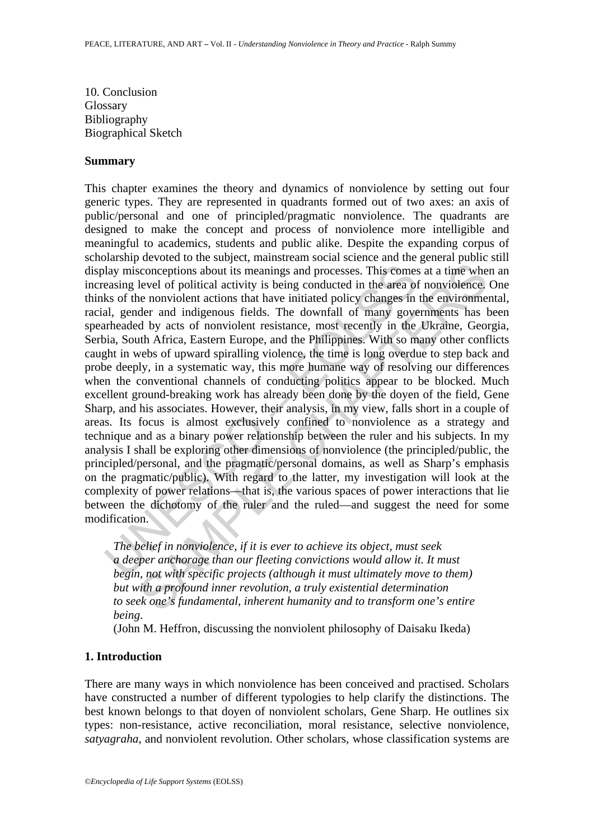10. Conclusion Glossary Bibliography Biographical Sketch

#### **Summary**

lay misconceptions about its meanings and processes. This comes<br>easing level of political activity is being conducted in the area of<br>ks of the nonviolent actions that have initiated policy changes in<br>al, gender and indige isomorphions about its meanings and processes. This comes at a time whe level of political activity is being conducted in the area of nonviolence, enouvolent actions that have initiated policy changes in the envirolment e This chapter examines the theory and dynamics of nonviolence by setting out four generic types. They are represented in quadrants formed out of two axes: an axis of public/personal and one of principled/pragmatic nonviolence. The quadrants are designed to make the concept and process of nonviolence more intelligible and meaningful to academics, students and public alike. Despite the expanding corpus of scholarship devoted to the subject, mainstream social science and the general public still display misconceptions about its meanings and processes. This comes at a time when an increasing level of political activity is being conducted in the area of nonviolence. One thinks of the nonviolent actions that have initiated policy changes in the environmental, racial, gender and indigenous fields. The downfall of many governments has been spearheaded by acts of nonviolent resistance, most recently in the Ukraine, Georgia, Serbia, South Africa, Eastern Europe, and the Philippines. With so many other conflicts caught in webs of upward spiralling violence, the time is long overdue to step back and probe deeply, in a systematic way, this more humane way of resolving our differences when the conventional channels of conducting politics appear to be blocked. Much excellent ground-breaking work has already been done by the doyen of the field, Gene Sharp, and his associates. However, their analysis, in my view, falls short in a couple of areas. Its focus is almost exclusively confined to nonviolence as a strategy and technique and as a binary power relationship between the ruler and his subjects. In my analysis I shall be exploring other dimensions of nonviolence (the principled/public, the principled/personal, and the pragmatic/personal domains, as well as Sharp's emphasis on the pragmatic/public). With regard to the latter, my investigation will look at the complexity of power relations—that is, the various spaces of power interactions that lie between the dichotomy of the ruler and the ruled—and suggest the need for some modification.

*The belief in nonviolence, if it is ever to achieve its object, must seek a deeper anchorage than our fleeting convictions would allow it. It must begin, not with specific projects (although it must ultimately move to them) but with a profound inner revolution, a truly existential determination to seek one's fundamental, inherent humanity and to transform one's entire being*.

(John M. Heffron, discussing the nonviolent philosophy of Daisaku Ikeda)

### **1. Introduction**

There are many ways in which nonviolence has been conceived and practised. Scholars have constructed a number of different typologies to help clarify the distinctions. The best known belongs to that doyen of nonviolent scholars, Gene Sharp. He outlines six types: non-resistance, active reconciliation, moral resistance, selective nonviolence, *satyagraha*, and nonviolent revolution. Other scholars, whose classification systems are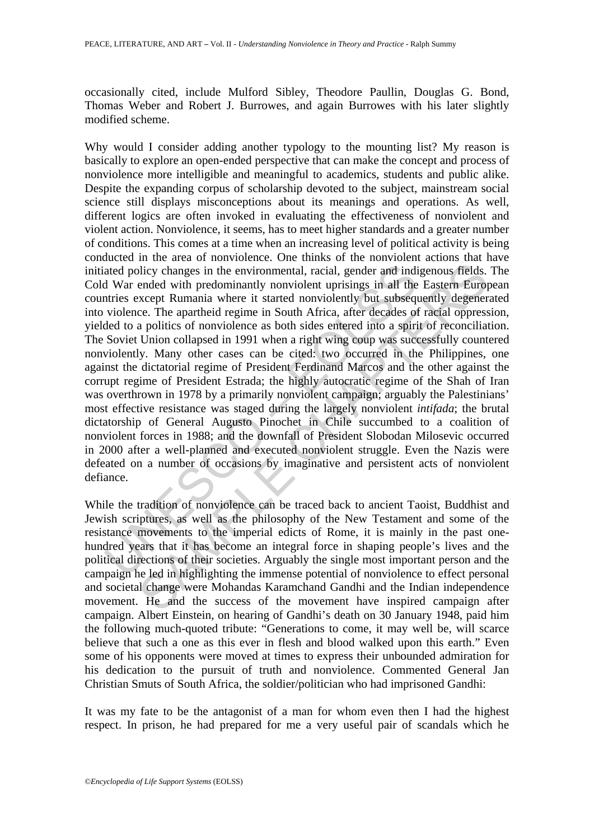occasionally cited, include Mulford Sibley, Theodore Paullin, Douglas G. Bond, Thomas Weber and Robert J. Burrowes, and again Burrowes with his later slightly modified scheme.

ated policy changes in the environmental, racial, gender and indid War ended with predominantly nonviolent uprisings in all the turties except Rumania where it started nonviolently but subsequed violence. The apartheid reg blicy changes in the environmental, racial, gender and indigenous fields.<br>
Ended with predominantly nonviolent uprisings in all the Eastern Europ<br>
xcept Rumania where it started nonviolently but subsequently degenere<br>
xcep Why would I consider adding another typology to the mounting list? My reason is basically to explore an open-ended perspective that can make the concept and process of nonviolence more intelligible and meaningful to academics, students and public alike. Despite the expanding corpus of scholarship devoted to the subject, mainstream social science still displays misconceptions about its meanings and operations. As well, different logics are often invoked in evaluating the effectiveness of nonviolent and violent action. Nonviolence, it seems, has to meet higher standards and a greater number of conditions. This comes at a time when an increasing level of political activity is being conducted in the area of nonviolence. One thinks of the nonviolent actions that have initiated policy changes in the environmental, racial, gender and indigenous fields. The Cold War ended with predominantly nonviolent uprisings in all the Eastern European countries except Rumania where it started nonviolently but subsequently degenerated into violence. The apartheid regime in South Africa, after decades of racial oppression, yielded to a politics of nonviolence as both sides entered into a spirit of reconciliation. The Soviet Union collapsed in 1991 when a right wing coup was successfully countered nonviolently. Many other cases can be cited: two occurred in the Philippines, one against the dictatorial regime of President Ferdinand Marcos and the other against the corrupt regime of President Estrada; the highly autocratic regime of the Shah of Iran was overthrown in 1978 by a primarily nonviolent campaign; arguably the Palestinians' most effective resistance was staged during the largely nonviolent *intifada*; the brutal dictatorship of General Augusto Pinochet in Chile succumbed to a coalition of nonviolent forces in 1988; and the downfall of President Slobodan Milosevic occurred in 2000 after a well-planned and executed nonviolent struggle. Even the Nazis were defeated on a number of occasions by imaginative and persistent acts of nonviolent defiance.

While the tradition of nonviolence can be traced back to ancient Taoist, Buddhist and Jewish scriptures, as well as the philosophy of the New Testament and some of the resistance movements to the imperial edicts of Rome, it is mainly in the past onehundred years that it has become an integral force in shaping people's lives and the political directions of their societies. Arguably the single most important person and the campaign he led in highlighting the immense potential of nonviolence to effect personal and societal change were Mohandas Karamchand Gandhi and the Indian independence movement. He and the success of the movement have inspired campaign after campaign. Albert Einstein, on hearing of Gandhi's death on 30 January 1948, paid him the following much-quoted tribute: "Generations to come, it may well be, will scarce believe that such a one as this ever in flesh and blood walked upon this earth." Even some of his opponents were moved at times to express their unbounded admiration for his dedication to the pursuit of truth and nonviolence. Commented General Jan Christian Smuts of South Africa, the soldier/politician who had imprisoned Gandhi:

It was my fate to be the antagonist of a man for whom even then I had the highest respect. In prison, he had prepared for me a very useful pair of scandals which he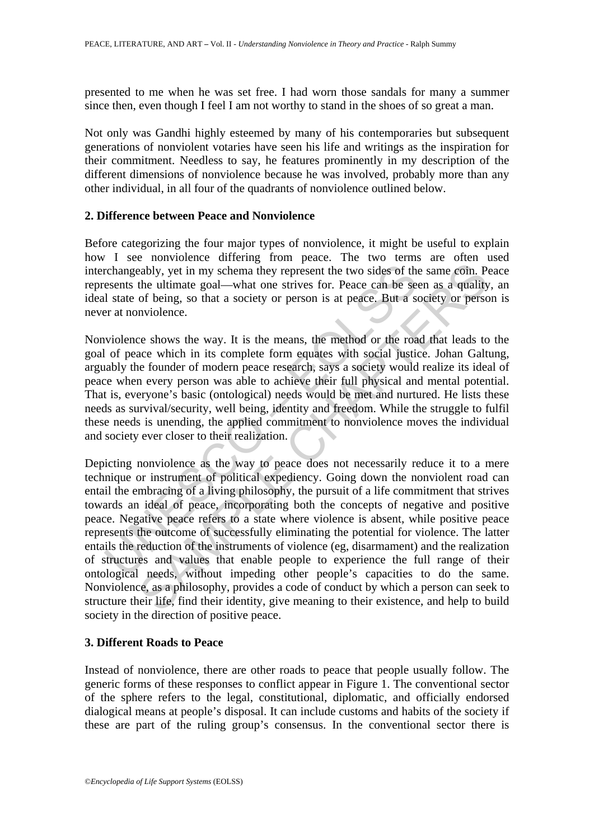presented to me when he was set free. I had worn those sandals for many a summer since then, even though I feel I am not worthy to stand in the shoes of so great a man.

Not only was Gandhi highly esteemed by many of his contemporaries but subsequent generations of nonviolent votaries have seen his life and writings as the inspiration for their commitment. Needless to say, he features prominently in my description of the different dimensions of nonviolence because he was involved, probably more than any other individual, in all four of the quadrants of nonviolence outlined below.

### **2. Difference between Peace and Nonviolence**

Before categorizing the four major types of nonviolence, it might be useful to explain how I see nonviolence differing from peace. The two terms are often used interchangeably, yet in my schema they represent the two sides of the same coin. Peace represents the ultimate goal—what one strives for. Peace can be seen as a quality, an ideal state of being, so that a society or person is at peace. But a society or person is never at nonviolence.

Nonviolence shows the way. It is the means, the method or the road that leads to the goal of peace which in its complete form equates with social justice. Johan Galtung, arguably the founder of modern peace research, says a society would realize its ideal of peace when every person was able to achieve their full physical and mental potential. That is, everyone's basic (ontological) needs would be met and nurtured. He lists these needs as survival/security, well being, identity and freedom. While the struggle to fulfil these needs is unending, the applied commitment to nonviolence moves the individual and society ever closer to their realization.

rchangeably, yet in my schema they represent the two sides of the<br>seents the ultimate goal—what one strives for. Peace can be seents the ultimate goal—what one strives for. Peace can be seently at server at nonviolence.<br>In eably, yet in my schema they represent the two sides of the same coin. Po<br>the ultimate goal—what one strives for. Peace can be seen as a quality<br>of being, so that a society or person is at peace. But a society or person<br>wi Depicting nonviolence as the way to peace does not necessarily reduce it to a mere technique or instrument of political expediency. Going down the nonviolent road can entail the embracing of a living philosophy, the pursuit of a life commitment that strives towards an ideal of peace, incorporating both the concepts of negative and positive peace. Negative peace refers to a state where violence is absent, while positive peace represents the outcome of successfully eliminating the potential for violence. The latter entails the reduction of the instruments of violence (eg, disarmament) and the realization of structures and values that enable people to experience the full range of their ontological needs, without impeding other people's capacities to do the same. Nonviolence, as a philosophy, provides a code of conduct by which a person can seek to structure their life, find their identity, give meaning to their existence, and help to build society in the direction of positive peace.

### **3. Different Roads to Peace**

Instead of nonviolence, there are other roads to peace that people usually follow. The generic forms of these responses to conflict appear in Figure 1. The conventional sector of the sphere refers to the legal, constitutional, diplomatic, and officially endorsed dialogical means at people's disposal. It can include customs and habits of the society if these are part of the ruling group's consensus. In the conventional sector there is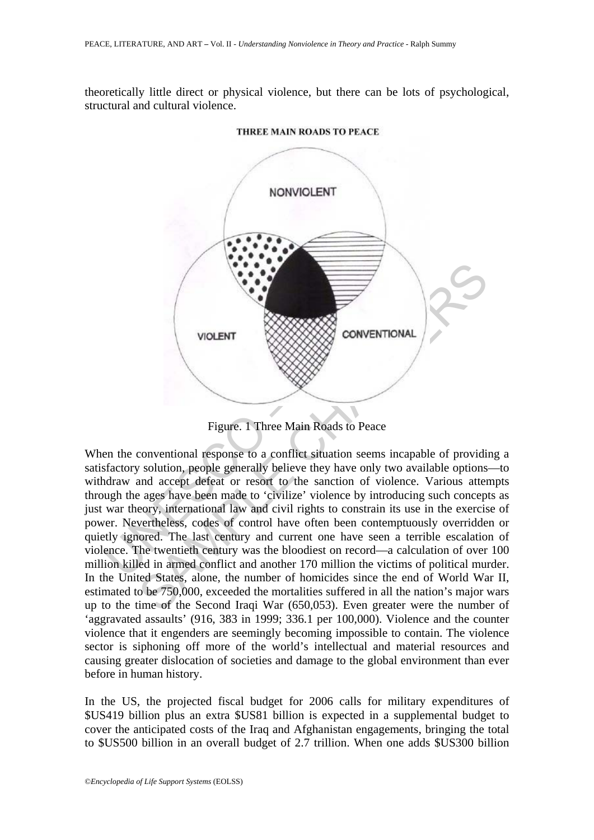theoretically little direct or physical violence, but there can be lots of psychological, structural and cultural violence.



THREE MAIN ROADS TO PEACE

Figure. 1 Three Main Roads to Peace

VOLENT<br>
VIOLENT<br>
VIOLENT<br>
VIOLENT<br>
Figure. 1 Three Main Roads to Peace<br>
conventional response to a conflict situation seems incapable of providing<br>
solution, people generally believe they have only two available options<br>
a When the conventional response to a conflict situation seems incapable of providing a satisfactory solution, people generally believe they have only two available options—to withdraw and accept defeat or resort to the sanction of violence. Various attempts through the ages have been made to 'civilize' violence by introducing such concepts as just war theory, international law and civil rights to constrain its use in the exercise of power. Nevertheless, codes of control have often been contemptuously overridden or quietly ignored. The last century and current one have seen a terrible escalation of violence. The twentieth century was the bloodiest on record—a calculation of over 100 million killed in armed conflict and another 170 million the victims of political murder. In the United States, alone, the number of homicides since the end of World War II, estimated to be 750,000, exceeded the mortalities suffered in all the nation's major wars up to the time of the Second Iraqi War (650,053). Even greater were the number of 'aggravated assaults' (916, 383 in 1999; 336.1 per 100,000). Violence and the counter violence that it engenders are seemingly becoming impossible to contain. The violence sector is siphoning off more of the world's intellectual and material resources and causing greater dislocation of societies and damage to the global environment than ever before in human history.

In the US, the projected fiscal budget for 2006 calls for military expenditures of \$US419 billion plus an extra \$US81 billion is expected in a supplemental budget to cover the anticipated costs of the Iraq and Afghanistan engagements, bringing the total to \$US500 billion in an overall budget of 2.7 trillion. When one adds \$US300 billion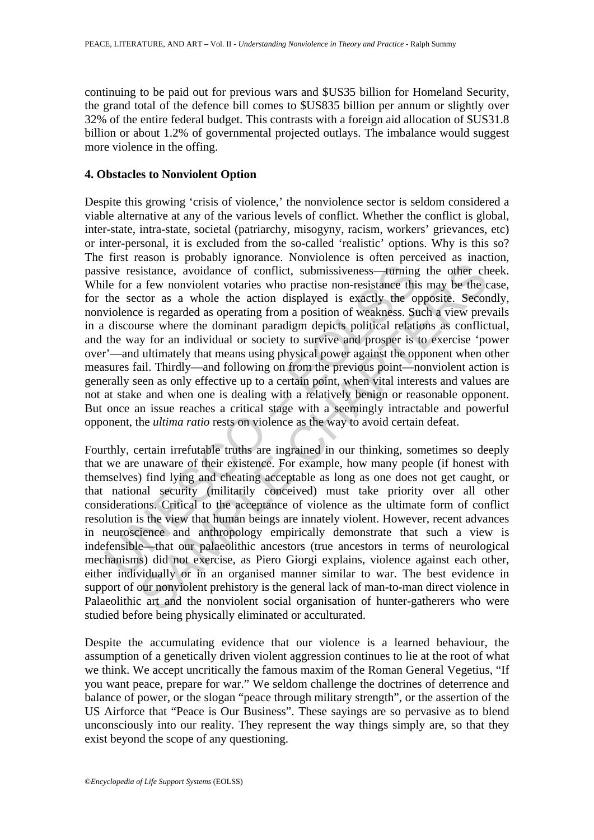continuing to be paid out for previous wars and \$US35 billion for Homeland Security, the grand total of the defence bill comes to \$US835 billion per annum or slightly over 32% of the entire federal budget. This contrasts with a foreign aid allocation of \$US31.8 billion or about 1.2% of governmental projected outlays. The imbalance would suggest more violence in the offing.

#### **4. Obstacles to Nonviolent Option**

ive resistance, avoidance of conflict, submissiveness—turning<br>le for a few nonviolent votaries who practise non-resistance this<br>the sector as a whole the action displayed is exactly the op<br>violence is regarded as operating Despite this growing 'crisis of violence,' the nonviolence sector is seldom considered a viable alternative at any of the various levels of conflict. Whether the conflict is global, inter-state, intra-state, societal (patriarchy, misogyny, racism, workers' grievances, etc) or inter-personal, it is excluded from the so-called 'realistic' options. Why is this so? The first reason is probably ignorance. Nonviolence is often perceived as inaction, passive resistance, avoidance of conflict, submissiveness—turning the other cheek. While for a few nonviolent votaries who practise non-resistance this may be the case, for the sector as a whole the action displayed is exactly the opposite. Secondly, nonviolence is regarded as operating from a position of weakness. Such a view prevails in a discourse where the dominant paradigm depicts political relations as conflictual, and the way for an individual or society to survive and prosper is to exercise 'power over'—and ultimately that means using physical power against the opponent when other measures fail. Thirdly—and following on from the previous point—nonviolent action is generally seen as only effective up to a certain point, when vital interests and values are not at stake and when one is dealing with a relatively benign or reasonable opponent. But once an issue reaches a critical stage with a seemingly intractable and powerful opponent, the *ultima ratio* rests on violence as the way to avoid certain defeat.

sistance, avoidance of conflict, submissiveness—uming the other cha few nonviolent votaries who practise non-resistance this may be the correlation displayed is exactly the opposite. Second is the ce is regarded as operati Fourthly, certain irrefutable truths are ingrained in our thinking, sometimes so deeply that we are unaware of their existence. For example, how many people (if honest with themselves) find lying and cheating acceptable as long as one does not get caught, or that national security (militarily conceived) must take priority over all other considerations. Critical to the acceptance of violence as the ultimate form of conflict resolution is the view that human beings are innately violent. However, recent advances in neuroscience and anthropology empirically demonstrate that such a view is indefensible—that our palaeolithic ancestors (true ancestors in terms of neurological mechanisms) did not exercise, as Piero Giorgi explains, violence against each other, either individually or in an organised manner similar to war. The best evidence in support of our nonviolent prehistory is the general lack of man-to-man direct violence in Palaeolithic art and the nonviolent social organisation of hunter-gatherers who were studied before being physically eliminated or acculturated.

Despite the accumulating evidence that our violence is a learned behaviour, the assumption of a genetically driven violent aggression continues to lie at the root of what we think. We accept uncritically the famous maxim of the Roman General Vegetius, "If you want peace, prepare for war." We seldom challenge the doctrines of deterrence and balance of power, or the slogan "peace through military strength", or the assertion of the US Airforce that "Peace is Our Business". These sayings are so pervasive as to blend unconsciously into our reality. They represent the way things simply are, so that they exist beyond the scope of any questioning.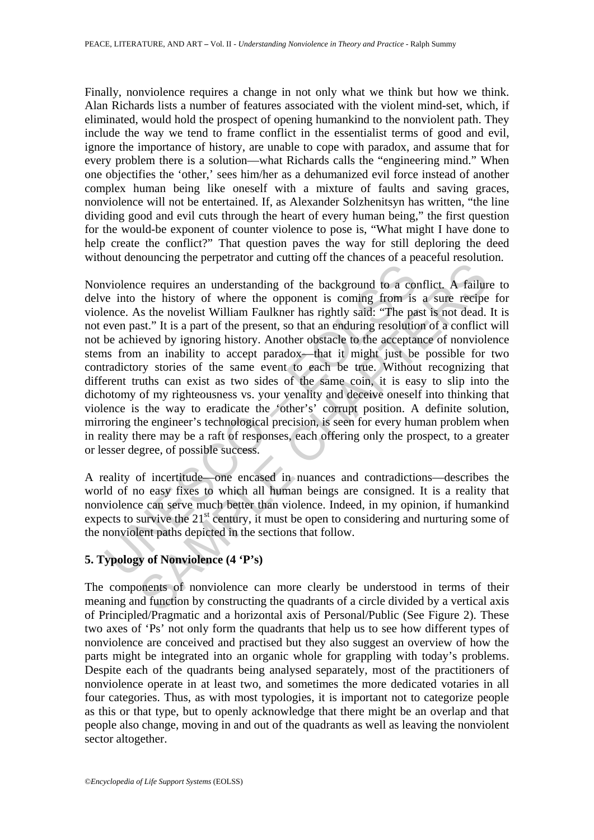Finally, nonviolence requires a change in not only what we think but how we think. Alan Richards lists a number of features associated with the violent mind-set, which, if eliminated, would hold the prospect of opening humankind to the nonviolent path. They include the way we tend to frame conflict in the essentialist terms of good and evil, ignore the importance of history, are unable to cope with paradox, and assume that for every problem there is a solution—what Richards calls the "engineering mind." When one objectifies the 'other,' sees him/her as a dehumanized evil force instead of another complex human being like oneself with a mixture of faults and saving graces, nonviolence will not be entertained. If, as Alexander Solzhenitsyn has written, "the line dividing good and evil cuts through the heart of every human being," the first question for the would-be exponent of counter violence to pose is, "What might I have done to help create the conflict?" That question paves the way for still deploring the deed without denouncing the perpetrator and cutting off the chances of a peaceful resolution.

wiolence requires an understanding of the background to a core into the history of where the opponent is coming from is ence. As the novelist William Faulkner has rightly said: "The pa even past." It is a part of the pres be requires an understanding of the background to a conflict. A failur the history of where the opponent is coming from is a sure receipes as the novelist William Faulkner has rightly sadi: "The past is not dead, st." It Nonviolence requires an understanding of the background to a conflict. A failure to delve into the history of where the opponent is coming from is a sure recipe for violence. As the novelist William Faulkner has rightly said: "The past is not dead. It is not even past." It is a part of the present, so that an enduring resolution of a conflict will not be achieved by ignoring history. Another obstacle to the acceptance of nonviolence stems from an inability to accept paradox—that it might just be possible for two contradictory stories of the same event to each be true. Without recognizing that different truths can exist as two sides of the same coin, it is easy to slip into the dichotomy of my righteousness vs. your venality and deceive oneself into thinking that violence is the way to eradicate the 'other's' corrupt position. A definite solution, mirroring the engineer's technological precision, is seen for every human problem when in reality there may be a raft of responses, each offering only the prospect, to a greater or lesser degree, of possible success.

A reality of incertitude—one encased in nuances and contradictions—describes the world of no easy fixes to which all human beings are consigned. It is a reality that nonviolence can serve much better than violence. Indeed, in my opinion, if humankind expects to survive the  $21<sup>st</sup>$  century, it must be open to considering and nurturing some of the nonviolent paths depicted in the sections that follow.

## **5. Typology of Nonviolence (4 'P's)**

The components of nonviolence can more clearly be understood in terms of their meaning and function by constructing the quadrants of a circle divided by a vertical axis of Principled/Pragmatic and a horizontal axis of Personal/Public (See Figure 2). These two axes of 'Ps' not only form the quadrants that help us to see how different types of nonviolence are conceived and practised but they also suggest an overview of how the parts might be integrated into an organic whole for grappling with today's problems. Despite each of the quadrants being analysed separately, most of the practitioners of nonviolence operate in at least two, and sometimes the more dedicated votaries in all four categories. Thus, as with most typologies, it is important not to categorize people as this or that type, but to openly acknowledge that there might be an overlap and that people also change, moving in and out of the quadrants as well as leaving the nonviolent sector altogether.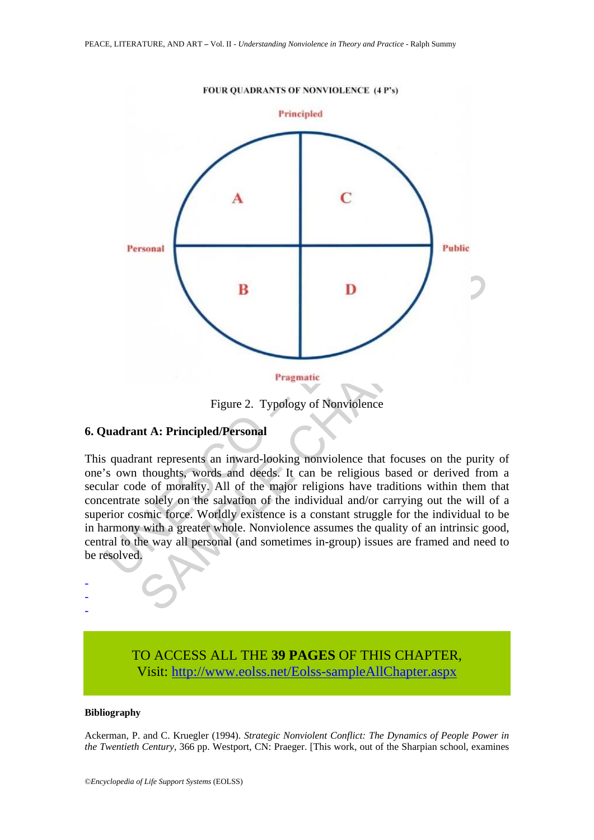

Figure 2. Typology of Nonviolence

#### **6. Quadrant A: Principled/Personal**

This quadrant represents an inward-looking nonviolence that focuses on the purity of one's own thoughts, words and deeds. It can be religious based or derived from a secular code of morality. All of the major religions have traditions within them that concentrate solely on the salvation of the individual and/or carrying out the will of a superior cosmic force. Worldly existence is a constant struggle for the individual to be in harmony with a greater whole. Nonviolence assumes the quality of an intrinsic good, central to the way all personal (and sometimes in-group) issues are framed and need to be resolved.

# TO ACCESS ALL THE **39 PAGES** OF THIS CHAPTER, Visit[: http://www.eolss.net/Eolss-sampleAllChapter.aspx](https://www.eolss.net/ebooklib/sc_cart.aspx?File=E1-39A-29)

#### **Bibliography**

- - -

Ackerman, P. and C. Kruegler (1994). *Strategic Nonviolent Conflict: The Dynamics of People Power in the Twentieth Century*, 366 pp. Westport, CN: Praeger. [This work, out of the Sharpian school, examines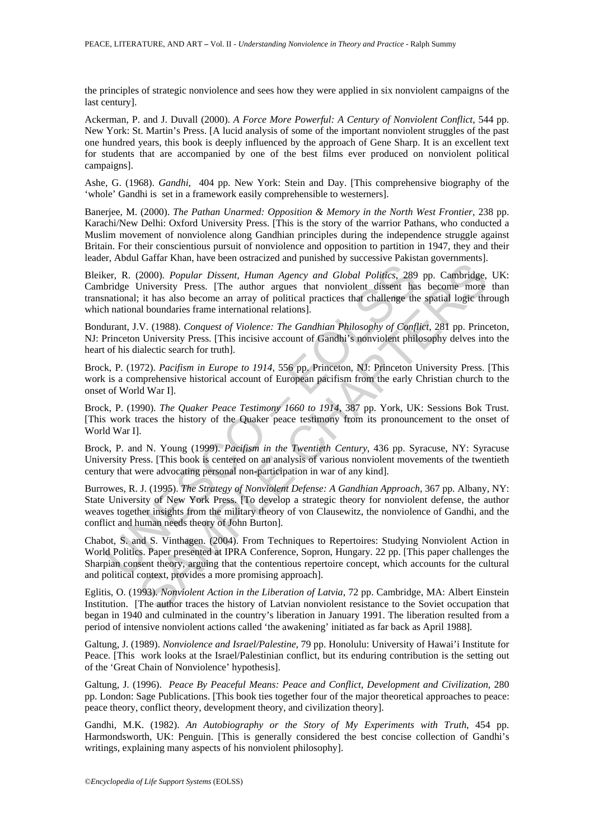the principles of strategic nonviolence and sees how they were applied in six nonviolent campaigns of the last century].

Ackerman, P. and J. Duvall (2000). *A Force More Powerful: A Century of Nonviolent Conflict*, 544 pp. New York: St. Martin's Press. [A lucid analysis of some of the important nonviolent struggles of the past one hundred years, this book is deeply influenced by the approach of Gene Sharp. It is an excellent text for students that are accompanied by one of the best films ever produced on nonviolent political campaigns].

Ashe, G. (1968). *Gandhi*, 404 pp. New York: Stein and Day. [This comprehensive biography of the 'whole' Gandhi is set in a framework easily comprehensible to westerners].

Banerjee, M. (2000). *The Pathan Unarmed: Opposition & Memory in the North West Frontier*, 238 pp. Karachi/New Delhi: Oxford University Press. [This is the story of the warrior Pathans, who conducted a Muslim movement of nonviolence along Gandhian principles during the independence struggle against Britain. For their conscientious pursuit of nonviolence and opposition to partition in 1947, they and their leader, Abdul Gaffar Khan, have been ostracized and punished by successive Pakistan governments].

eer, R. (2000). *Popular Dissent*, *Human Agency and Global Politics*, 289<br>bridge University Press. [The author argues that nonviolent dissent has<br>anational; it has also become an array of political practices that challeng (2000). *Popular Dissent, Human Agency and Global Politics*, 289 pp. Cambridge.<br>
Chiversity Press. [The author argues that nonviolent dissent has become more<br>
Liniversity Press. [The author argues that nonviolent dissent Bleiker, R. (2000). *Popular Dissent, Human Agency and Global Politics*, 289 pp. Cambridge, UK: Cambridge University Press. [The author argues that nonviolent dissent has become more than transnational; it has also become an array of political practices that challenge the spatial logic through which national boundaries frame international relations].

Bondurant, J.V. (1988). *Conquest of Violence: The Gandhian Philosophy of Conflict*, 281 pp. Princeton, NJ: Princeton University Press. [This incisive account of Gandhi's nonviolent philosophy delves into the heart of his dialectic search for truth].

Brock, P. (1972). *Pacifism in Europe to 1914*, 556 pp. Princeton, NJ: Princeton University Press. [This work is a comprehensive historical account of European pacifism from the early Christian church to the onset of World War I].

Brock, P. (1990). *The Quaker Peace Testimony 1660 to 1914*, 387 pp. York, UK: Sessions Bok Trust. [This work traces the history of the Quaker peace testimony from its pronouncement to the onset of World War I].

Brock, P. and N. Young (1999). *Pacifism in the Twentieth Century*, 436 pp. Syracuse, NY: Syracuse University Press. [This book is centered on an analysis of various nonviolent movements of the twentieth century that were advocating personal non-participation in war of any kind].

Burrowes, R. J. (1995). *The Strategy of Nonviolent Defense: A Gandhian Approach*, 367 pp. Albany, NY: State University of New York Press. [To develop a strategic theory for nonviolent defense, the author weaves together insights from the military theory of von Clausewitz, the nonviolence of Gandhi, and the conflict and human needs theory of John Burton].

Chabot, S. and S. Vinthagen. (2004). From Techniques to Repertoires: Studying Nonviolent Action in World Politics. Paper presented at IPRA Conference, Sopron, Hungary. 22 pp. [This paper challenges the Sharpian consent theory, arguing that the contentious repertoire concept, which accounts for the cultural and political context, provides a more promising approach].

Eglitis, O. (1993). *Nonviolent Action in the Liberation of Latvia*, 72 pp. Cambridge, MA: Albert Einstein Institution. [The author traces the history of Latvian nonviolent resistance to the Soviet occupation that began in 1940 and culminated in the country's liberation in January 1991. The liberation resulted from a period of intensive nonviolent actions called 'the awakening' initiated as far back as April 1988].

Galtung, J. (1989). *Nonviolence and Israel/Palestine*, 79 pp. Honolulu: University of Hawai'i Institute for Peace. [This work looks at the Israel/Palestinian conflict, but its enduring contribution is the setting out of the 'Great Chain of Nonviolence' hypothesis].

Galtung, J. (1996). *Peace By Peaceful Means: Peace and Conflict, Development and Civilization*, 280 pp. London: Sage Publications. [This book ties together four of the major theoretical approaches to peace: peace theory, conflict theory, development theory, and civilization theory].

Gandhi, M.K. (1982). *An Autobiography or the Story of My Experiments with Truth*, 454 pp. Harmondsworth, UK: Penguin. [This is generally considered the best concise collection of Gandhi's writings, explaining many aspects of his nonviolent philosophy].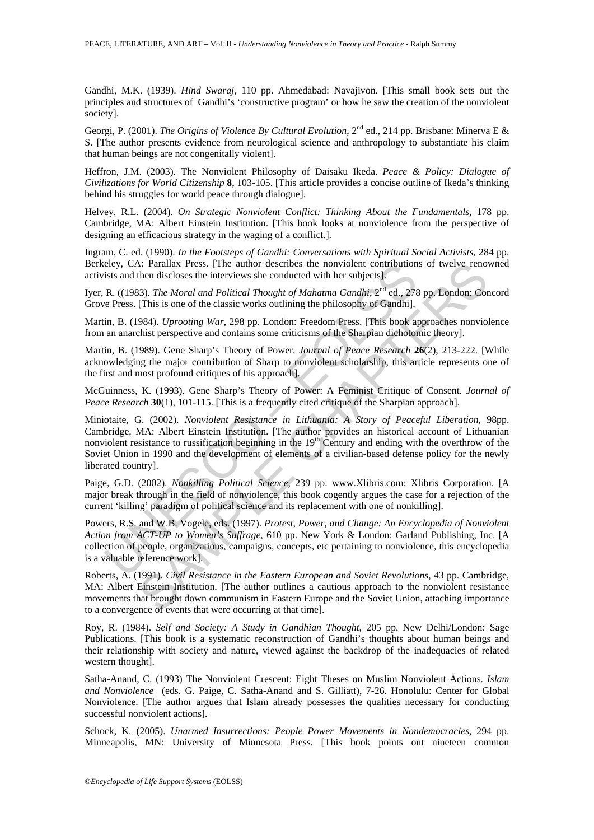Gandhi, M.K. (1939). *Hind Swaraj*, 110 pp. Ahmedabad: Navajivon. [This small book sets out the principles and structures of Gandhi's 'constructive program' or how he saw the creation of the nonviolent society].

Georgi, P. (2001). *The Origins of Violence By Cultural Evolution*, 2<sup>nd</sup> ed., 214 pp. Brisbane: Minerva E & S. [The author presents evidence from neurological science and anthropology to substantiate his claim that human beings are not congenitally violent].

Heffron, J.M. (2003). The Nonviolent Philosophy of Daisaku Ikeda. *Peace & Policy: Dialogue of Civilizations for World Citizenship* **8**, 103-105. [This article provides a concise outline of Ikeda's thinking behind his struggles for world peace through dialogue].

Helvey, R.L. (2004). *On Strategic Nonviolent Conflict: Thinking About the Fundamentals*, 178 pp. Cambridge, MA: Albert Einstein Institution. [This book looks at nonviolence from the perspective of designing an efficacious strategy in the waging of a conflict.].

Ingram, C. ed. (1990). *In the Footsteps of Gandhi: Conversations with Spiritual Social Activists*, 284 pp. Berkeley, CA: Parallax Press. [The author describes the nonviolent contributions of twelve renowned activists and then discloses the interviews she conducted with her subjects].

Iyer, R. ((1983). *The Moral and Political Thought of Mahatma Gandhi*, 2<sup>nd</sup> ed., 278 pp. London: Concord Grove Press. [This is one of the classic works outlining the philosophy of Gandhi].

Martin, B. (1984). *Uprooting War*, 298 pp. London: Freedom Press. [This book approaches nonviolence from an anarchist perspective and contains some criticisms of the Sharpian dichotomic theory].

Martin, B. (1989). Gene Sharp's Theory of Power. *Journal of Peace Research* **26**(2), 213-222. [While acknowledging the major contribution of Sharp to nonviolent scholarship, this article represents one of the first and most profound critiques of his approach].

McGuinness, K. (1993). Gene Sharp's Theory of Power: A Feminist Critique of Consent. *Journal of Peace Research* **30**(1), 101-115. [This is a frequently cited critique of the Sharpian approach].

eley, CA: Parallax Press. [The author describes the nonviolent contribution<br>is sits and then disclosse the interviews she conducted with her subjects].<br>R. ((1983). *The Moral and Political Thought of Mahatma Gandht*)<sup>2nd</sup> 3: Parallax Press. [The author describes the nonviolent contributions of twelve reno-<br>then discloses the interviews she conducted with her subjects].<br>
SB1, The Moral and Political Thought of Mahatma Gandhit,  $2^{nd}$  ed., 2 Miniotaite, G. (2002). *Nonviolent Resistance in Lithuania: A Story of Peaceful Liberation*, 98pp. Cambridge, MA: Albert Einstein Institution. [The author provides an historical account of Lithuanian nonviolent resistance to russification beginning in the  $19<sup>th</sup>$  Century and ending with the overthrow of the Soviet Union in 1990 and the development of elements of a civilian-based defense policy for the newly liberated country].

Paige, G.D. (2002). *Nonkilling Political Science*, 239 pp. www.Xlibris.com: Xlibris Corporation. [A major break through in the field of nonviolence, this book cogently argues the case for a rejection of the current 'killing' paradigm of political science and its replacement with one of nonkilling].

Powers, R.S. and W.B. Vogele, eds. (1997). *Protest, Power, and Change: An Encyclopedia of Nonviolent Action from ACT-UP to Women's Suffrage*, 610 pp. New York & London: Garland Publishing, Inc. [A collection of people, organizations, campaigns, concepts, etc pertaining to nonviolence, this encyclopedia is a valuable reference work].

Roberts, A. (1991). *Civil Resistance in the Eastern European and Soviet Revolutions*, 43 pp. Cambridge, MA: Albert Einstein Institution. [The author outlines a cautious approach to the nonviolent resistance movements that brought down communism in Eastern Europe and the Soviet Union, attaching importance to a convergence of events that were occurring at that time].

Roy, R. (1984). *Self and Society: A Study in Gandhian Thought*, 205 pp. New Delhi/London: Sage Publications. [This book is a systematic reconstruction of Gandhi's thoughts about human beings and their relationship with society and nature, viewed against the backdrop of the inadequacies of related western thought].

Satha-Anand, C. (1993) The Nonviolent Crescent: Eight Theses on Muslim Nonviolent Actions. *Islam and Nonviolence* (eds. G. Paige, C. Satha-Anand and S. Gilliatt), 7-26. Honolulu: Center for Global Nonviolence. [The author argues that Islam already possesses the qualities necessary for conducting successful nonviolent actions].

Schock, K. (2005). *Unarmed Insurrections: People Power Movements in Nondemocracies*, 294 pp. Minneapolis, MN: University of Minnesota Press. [This book points out nineteen common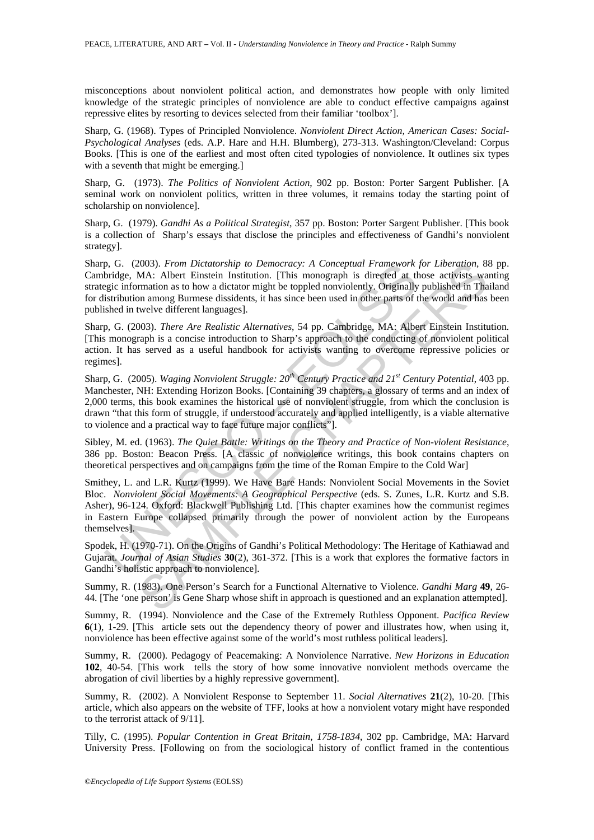misconceptions about nonviolent political action, and demonstrates how people with only limited knowledge of the strategic principles of nonviolence are able to conduct effective campaigns against repressive elites by resorting to devices selected from their familiar 'toolbox'].

Sharp, G. (1968). Types of Principled Nonviolence. *Nonviolent Direct Action, American Cases: Social-Psychological Analyses* (eds. A.P. Hare and H.H. Blumberg), 273-313. Washington/Cleveland: Corpus Books. [This is one of the earliest and most often cited typologies of nonviolence. It outlines six types with a seventh that might be emerging.

Sharp, G. (1973). *The Politics of Nonviolent Action*, 902 pp. Boston: Porter Sargent Publisher. [A seminal work on nonviolent politics, written in three volumes, it remains today the starting point of scholarship on nonviolence].

Sharp, G. (1979). *Gandhi As a Political Strategist*, 357 pp. Boston: Porter Sargent Publisher. [This book is a collection of Sharp's essays that disclose the principles and effectiveness of Gandhi's nonviolent strategy].

Sharp, G. (2003). *From Dictatorship to Democracy: A Conceptual Framework for Liberation*, 88 pp. Cambridge, MA: Albert Einstein Institution. [This monograph is directed at those activists wanting strategic information as to how a dictator might be toppled nonviolently. Originally published in Thailand for distribution among Burmese dissidents, it has since been used in other parts of the world and has been published in twelve different languages].

Sharp, G. (2003). *There Are Realistic Alternatives*, 54 pp. Cambridge, MA: Albert Einstein Institution. [This monograph is a concise introduction to Sharp's approach to the conducting of nonviolent political action. It has served as a useful handbook for activists wanting to overcome repressive policies or regimes].

Sharp, G. (2005). *Waging Nonviolent Struggle: 20<sup>th</sup> Century Practice and 21<sup>st</sup> Century Potential, 403 pp.* Manchester, NH: Extending Horizon Books. [Containing 39 chapters, a glossary of terms and an index of 2,000 terms, this book examines the historical use of nonviolent struggle, from which the conclusion is drawn "that this form of struggle, if understood accurately and applied intelligently, is a viable alternative to violence and a practical way to face future major conflicts"].

Sibley, M. ed. (1963). *The Quiet Battle: Writings on the Theory and Practice of Non-violent Resistance*, 386 pp. Boston: Beacon Press. [A classic of nonviolence writings, this book contains chapters on theoretical perspectives and on campaigns from the time of the Roman Empire to the Cold War]

p, G. (2003). *From Dictatorship to Democracy: A Conceptual Framework*, b, eicepting to *Democracy: A Conceptual Framework*, progressies information as to how a dictator might be toppled nonviolently. Originally istributio 2003). *From Dictatorship to Democracy:* A Conceptual *Framework* for *Liberation*, 83<br>MA: Albert Einstein Institution. [This monograph is directed at those activists wa<br>mation as to how a dictator might be toppled nonvio Smithey, L. and L.R. Kurtz (1999). We Have Bare Hands: Nonviolent Social Movements in the Soviet Bloc. *Nonviolent Social Movements: A Geographical Perspective* (eds. S. Zunes, L.R. Kurtz and S.B. Asher), 96-124. Oxford: Blackwell Publishing Ltd. [This chapter examines how the communist regimes in Eastern Europe collapsed primarily through the power of nonviolent action by the Europeans themselves].

Spodek, H. (1970-71). On the Origins of Gandhi's Political Methodology: The Heritage of Kathiawad and Gujarat. *Journal of Asian Studies* **30**(2), 361-372. [This is a work that explores the formative factors in Gandhi's holistic approach to nonviolence].

Summy, R. (1983). One Person's Search for a Functional Alternative to Violence. *Gandhi Marg* **49**, 26- 44. [The 'one person' is Gene Sharp whose shift in approach is questioned and an explanation attempted].

Summy, R. (1994). Nonviolence and the Case of the Extremely Ruthless Opponent. *Pacifica Review* **6**(1), 1-29. [This article sets out the dependency theory of power and illustrates how, when using it, nonviolence has been effective against some of the world's most ruthless political leaders].

Summy, R. (2000). Pedagogy of Peacemaking: A Nonviolence Narrative. *New Horizons in Education* **102**, 40-54. [This work tells the story of how some innovative nonviolent methods overcame the abrogation of civil liberties by a highly repressive government].

Summy, R. (2002). A Nonviolent Response to September 11. *Social Alternatives* **21**(2), 10-20. [This article, which also appears on the website of TFF, looks at how a nonviolent votary might have responded to the terrorist attack of 9/11].

Tilly, C. (1995). *Popular Contention in Great Britain, 1758-1834*, 302 pp. Cambridge, MA: Harvard University Press. [Following on from the sociological history of conflict framed in the contentious